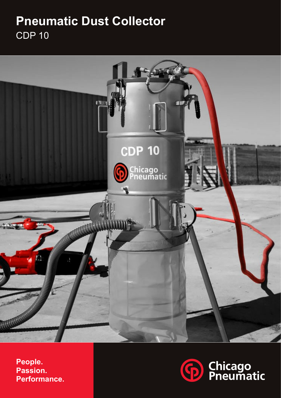# **Pneumatic Dust Collector** CDP 10



**People. Passion. Performance.**

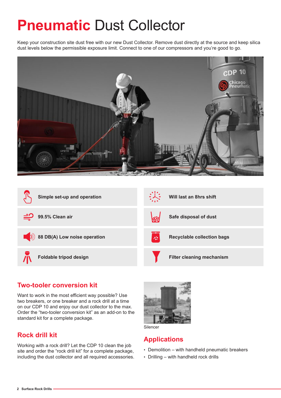# **Pneumatic Dust Collector**

Keep your construction site dust free with our new Dust Collector. Remove dust directly at the source and keep silica dust levels below the permissible exposure limit. Connect to one of our compressors and you're good to go.



| Simple set-up and operation  | Will last an 8hrs shift                |
|------------------------------|----------------------------------------|
| 99.5% Clean air              | Safe disposal of dust<br>滋             |
| 88 DB(A) Low noise operation | 설<br><b>Recyclable collection bags</b> |
| Foldable tripod design       | <b>Filter cleaning mechanism</b>       |

### **Two-tooler conversion kit**

Want to work in the most efficient way possible? Use two breakers, or one breaker and a rock drill at a time on our CDP 10 and enjoy our dust collector to the max. Order the "two-tooler conversion kit" as an add-on to the standard kit for a complete package.

### **Rock drill kit**

Working with a rock drill? Let the CDP 10 clean the job site and order the "rock drill kit" for a complete package, including the dust collector and all required accessories.





### **Applications**

- Demolition with handheld pneumatic breakers
- Drilling with handheld rock drills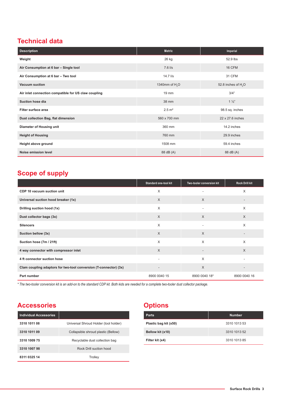## **Technical data**

| <b>Description</b>                                   | <b>Metric</b>              | Imperial             |
|------------------------------------------------------|----------------------------|----------------------|
| Weight                                               | 26 kg                      | 52.9 lbs             |
| Air Consumption at 6 bar - Single tool               | $7.6$ I/s                  | 16 CFM               |
| Air Consumption at 6 bar - Two tool                  | 14.7 l/s                   | 31 CFM               |
| <b>Vacuum suction</b>                                | 1340mm of H <sub>2</sub> O | 52.8 inches of $H2O$ |
| Air inlet connection compatible for US claw coupling | 19 mm                      | 3/4"                 |
| Suction hose dia                                     | 38 mm                      | $1\frac{1}{2}$       |
| <b>Filter surface area</b>                           | $2.5 \; \text{m}^2$        | 98.5 sq. inches      |
| Dust collection Bag, flat dimension                  | 560 x 700 mm               | 22 x 27.6 inches     |
| Diameter of Housing unit                             | 360 mm                     | 14.2 inches          |
| <b>Height of Housing</b>                             | 760 mm                     | 29.9 inches          |
| Height above ground                                  | 1508 mm                    | 59.4 inches          |
| Noise emission level                                 | 88 dB (A)                  | 88 dB (A)            |

# **Scope of supply**

|                                                                   | Standard one-tool kit    | Two-tooler conversion kit | <b>Rock Drill kit</b>    |
|-------------------------------------------------------------------|--------------------------|---------------------------|--------------------------|
| CDP 10 vacuum suction unit                                        | X                        |                           | X                        |
| Universal suction hood breaker (1x)                               | $\times$                 | $\times$                  |                          |
| Drilling suction hood (1x)                                        | $\times$                 | $\overline{\phantom{a}}$  | X                        |
| Dust collector bags (3x)                                          | $\times$                 | $\times$                  | $\times$                 |
| <b>Silencers</b>                                                  | $\times$                 | $\overline{\phantom{a}}$  | X                        |
| Suction bellow (3x)                                               | $\times$                 | $\times$                  | $\overline{\phantom{a}}$ |
| Suction hose (7m / 21ft)                                          | X                        | X                         | $\times$                 |
| 4 way connector with compressor inlet                             | $\times$                 | $\overline{\phantom{a}}$  | $\times$                 |
| 4 ft connector suction hose                                       |                          | $\times$                  |                          |
| Clam coupling adaptors for two-tool conversion (T-connector) (3x) | $\overline{\phantom{a}}$ | $\times$                  | $\overline{\phantom{a}}$ |
| Part number                                                       | 8900 0040 15             | 8900 0040 18*             | 8900 0040 16             |

*\* The two-tooler conversion kit is an add-on to the standard CDP kit. Both kids are needed for a complete two-tooler dust collector package.*

# **Accessories Options**

| <b>Individual Accessories</b> |                                       |
|-------------------------------|---------------------------------------|
| 3310 1011 08                  | Universal Shroud Holder (tool holder) |
| 3310 1011 09                  | Collapsible shroud plastic (Bellow)   |
| 3310 1009 75                  | Recyclable dust collection bag        |
| 3310 1007 98                  | Rock Drill suction hood               |
| 8311 0325 14                  | Trolley                               |

| <b>Parts</b>          | <b>Number</b> |
|-----------------------|---------------|
| Plastic bag kit (x50) | 3310 1013 53  |
| Bellow kit (x10)      | 3310 1013 52  |
| Filter kit (x4)       | 3310 1013 85  |